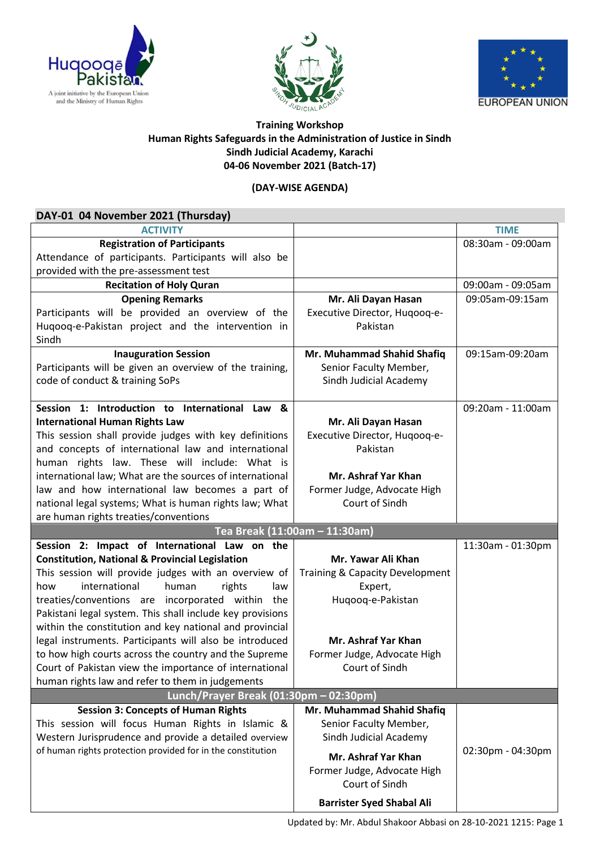





## **Training Workshop Human Rights Safeguards in the Administration of Justice in Sindh Sindh Judicial Academy, Karachi 04-06 November 2021 (Batch-17)**

## **(DAY-WISE AGENDA)**

| DAY-01 04 November 2021 (Thursday)                                                                          |                                  |                   |
|-------------------------------------------------------------------------------------------------------------|----------------------------------|-------------------|
| <b>ACTIVITY</b>                                                                                             |                                  | <b>TIME</b>       |
| <b>Registration of Participants</b>                                                                         |                                  | 08:30am - 09:00am |
| Attendance of participants. Participants will also be                                                       |                                  |                   |
| provided with the pre-assessment test                                                                       |                                  |                   |
| <b>Recitation of Holy Quran</b>                                                                             |                                  | 09:00am - 09:05am |
| <b>Opening Remarks</b>                                                                                      | Mr. Ali Dayan Hasan              | 09:05am-09:15am   |
| Participants will be provided an overview of the                                                            | Executive Director, Hugoog-e-    |                   |
| Huqooq-e-Pakistan project and the intervention in                                                           | Pakistan                         |                   |
| Sindh                                                                                                       |                                  |                   |
| <b>Inauguration Session</b>                                                                                 | Mr. Muhammad Shahid Shafiq       | 09:15am-09:20am   |
| Participants will be given an overview of the training,                                                     | Senior Faculty Member,           |                   |
| code of conduct & training SoPs                                                                             | Sindh Judicial Academy           |                   |
|                                                                                                             |                                  |                   |
| Session 1: Introduction to International Law &                                                              |                                  | 09:20am - 11:00am |
| <b>International Human Rights Law</b>                                                                       | Mr. Ali Dayan Hasan              |                   |
| This session shall provide judges with key definitions                                                      | Executive Director, Hugoog-e-    |                   |
| and concepts of international law and international                                                         | Pakistan                         |                   |
| human rights law. These will include: What is                                                               |                                  |                   |
| international law; What are the sources of international                                                    | Mr. Ashraf Yar Khan              |                   |
| law and how international law becomes a part of                                                             | Former Judge, Advocate High      |                   |
| national legal systems; What is human rights law; What                                                      | Court of Sindh                   |                   |
| are human rights treaties/conventions                                                                       |                                  |                   |
| Tea Break (11:00am - 11:30am)                                                                               |                                  |                   |
| Session 2: Impact of International Law on the<br><b>Constitution, National &amp; Provincial Legislation</b> | Mr. Yawar Ali Khan               | 11:30am - 01:30pm |
| This session will provide judges with an overview of                                                        | Training & Capacity Development  |                   |
| international<br>how<br>human<br>rights<br>law                                                              | Expert,                          |                   |
| treaties/conventions are incorporated within the                                                            | Huqooq-e-Pakistan                |                   |
| Pakistani legal system. This shall include key provisions                                                   |                                  |                   |
| within the constitution and key national and provincial                                                     |                                  |                   |
| legal instruments. Participants will also be introduced                                                     | Mr. Ashraf Yar Khan              |                   |
| to how high courts across the country and the Supreme                                                       | Former Judge, Advocate High      |                   |
| Court of Pakistan view the importance of international                                                      | Court of Sindh                   |                   |
| human rights law and refer to them in judgements                                                            |                                  |                   |
| Lunch/Prayer Break (01:30pm - 02:30pm)                                                                      |                                  |                   |
| <b>Session 3: Concepts of Human Rights</b>                                                                  | Mr. Muhammad Shahid Shafiq       |                   |
| This session will focus Human Rights in Islamic &                                                           | Senior Faculty Member,           |                   |
| Western Jurisprudence and provide a detailed overview                                                       | Sindh Judicial Academy           |                   |
| of human rights protection provided for in the constitution                                                 | Mr. Ashraf Yar Khan              | 02:30pm - 04:30pm |
|                                                                                                             | Former Judge, Advocate High      |                   |
|                                                                                                             | Court of Sindh                   |                   |
|                                                                                                             |                                  |                   |
|                                                                                                             | <b>Barrister Syed Shabal Ali</b> |                   |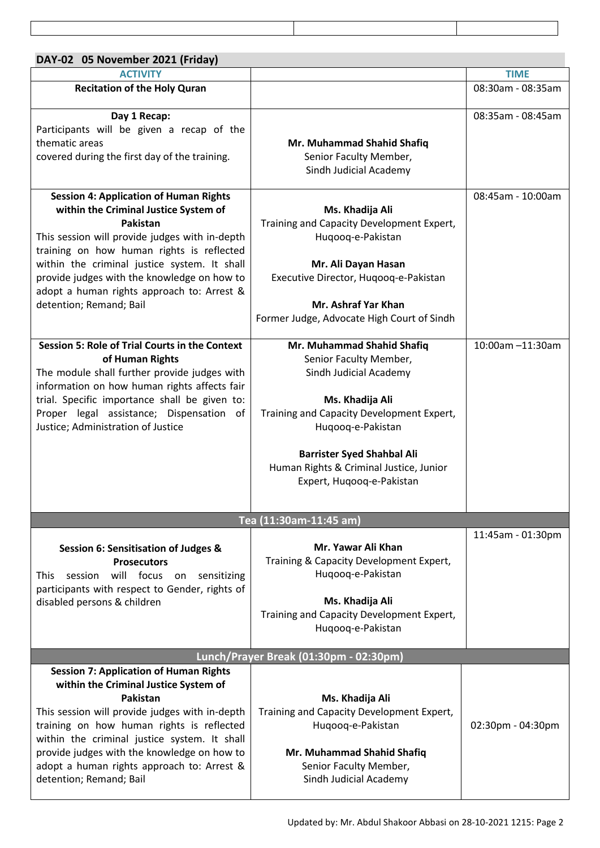| DAY-02 05 November 2021 (Friday)                                                             |                                                                |                   |
|----------------------------------------------------------------------------------------------|----------------------------------------------------------------|-------------------|
| <b>ACTIVITY</b>                                                                              |                                                                | <b>TIME</b>       |
| <b>Recitation of the Holy Quran</b>                                                          |                                                                | 08:30am - 08:35am |
| Day 1 Recap:                                                                                 |                                                                | 08:35am - 08:45am |
| Participants will be given a recap of the                                                    |                                                                |                   |
| thematic areas                                                                               | Mr. Muhammad Shahid Shafiq                                     |                   |
| covered during the first day of the training.                                                | Senior Faculty Member,                                         |                   |
|                                                                                              | Sindh Judicial Academy                                         |                   |
| <b>Session 4: Application of Human Rights</b>                                                |                                                                | 08:45am - 10:00am |
| within the Criminal Justice System of                                                        | Ms. Khadija Ali                                                |                   |
| Pakistan                                                                                     | Training and Capacity Development Expert,                      |                   |
| This session will provide judges with in-depth                                               | Huqooq-e-Pakistan                                              |                   |
| training on how human rights is reflected<br>within the criminal justice system. It shall    | Mr. Ali Dayan Hasan                                            |                   |
| provide judges with the knowledge on how to                                                  | Executive Director, Hugoog-e-Pakistan                          |                   |
| adopt a human rights approach to: Arrest &                                                   |                                                                |                   |
| detention; Remand; Bail                                                                      | Mr. Ashraf Yar Khan                                            |                   |
|                                                                                              | Former Judge, Advocate High Court of Sindh                     |                   |
|                                                                                              |                                                                |                   |
| <b>Session 5: Role of Trial Courts in the Context</b>                                        | Mr. Muhammad Shahid Shafiq                                     | 10:00am -11:30am  |
| of Human Rights                                                                              | Senior Faculty Member,                                         |                   |
| The module shall further provide judges with<br>information on how human rights affects fair | Sindh Judicial Academy                                         |                   |
| trial. Specific importance shall be given to:                                                | Ms. Khadija Ali                                                |                   |
| Proper legal assistance; Dispensation of                                                     | Training and Capacity Development Expert,                      |                   |
| Justice; Administration of Justice                                                           | Huqooq-e-Pakistan                                              |                   |
|                                                                                              |                                                                |                   |
|                                                                                              | <b>Barrister Syed Shahbal Ali</b>                              |                   |
|                                                                                              | Human Rights & Criminal Justice, Junior                        |                   |
|                                                                                              | Expert, Huqooq-e-Pakistan                                      |                   |
|                                                                                              |                                                                |                   |
| Tea (11:30am-11:45 am)                                                                       |                                                                |                   |
|                                                                                              | Mr. Yawar Ali Khan                                             | 11:45am - 01:30pm |
|                                                                                              |                                                                |                   |
| Session 6: Sensitisation of Judges &                                                         |                                                                |                   |
| <b>Prosecutors</b>                                                                           | Training & Capacity Development Expert,                        |                   |
| will focus<br>session<br>sensitizing<br>This<br>on                                           | Huqooq-e-Pakistan                                              |                   |
| participants with respect to Gender, rights of                                               |                                                                |                   |
| disabled persons & children                                                                  | Ms. Khadija Ali                                                |                   |
|                                                                                              | Training and Capacity Development Expert,<br>Huqooq-e-Pakistan |                   |
|                                                                                              |                                                                |                   |

## **Session 7: Application of Human Rights within the Criminal Justice System of Pakistan**

This session will provide judges with in-depth training on how human rights is reflected within the criminal justice system. It shall provide judges with the knowledge on how to adopt a human rights approach to: Arrest & detention; Remand; Bail Training and Capacity Development Expert,

02:30pm - 04:30pm

**Ms. Khadija Ali**

Huqooq-e-Pakistan

**Mr. Muhammad Shahid Shafiq** Senior Faculty Member, Sindh Judicial Academy